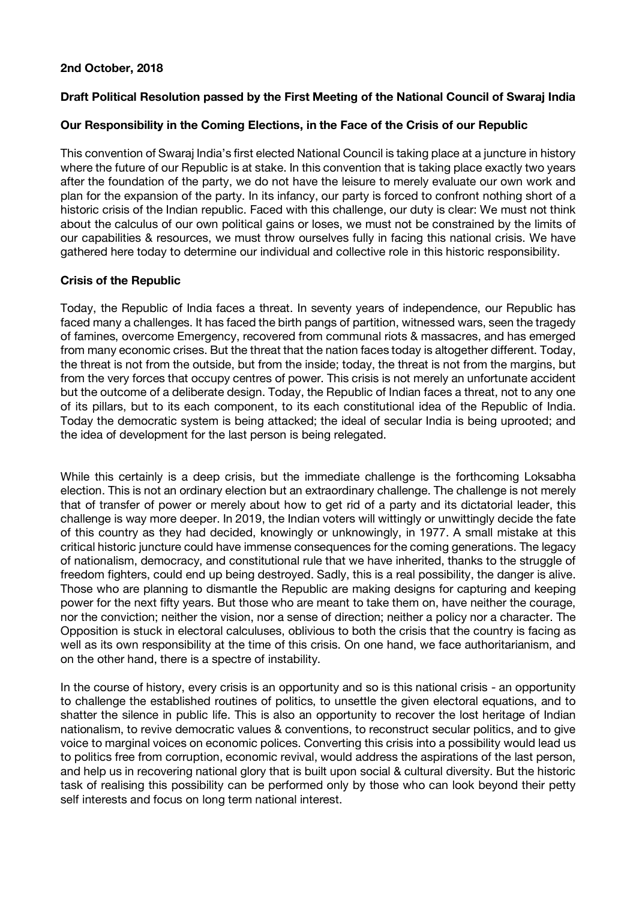## **2nd October, 2018**

# **Draft Political Resolution passed by the First Meeting of the National Council of Swaraj India**

## **Our Responsibility in the Coming Elections, in the Face of the Crisis of our Republic**

This convention of Swaraj India's first elected National Council is taking place at a juncture in history where the future of our Republic is at stake. In this convention that is taking place exactly two years after the foundation of the party, we do not have the leisure to merely evaluate our own work and plan for the expansion of the party. In its infancy, our party is forced to confront nothing short of a historic crisis of the Indian republic. Faced with this challenge, our duty is clear: We must not think about the calculus of our own political gains or loses, we must not be constrained by the limits of our capabilities & resources, we must throw ourselves fully in facing this national crisis. We have gathered here today to determine our individual and collective role in this historic responsibility.

## **Crisis of the Republic**

Today, the Republic of India faces a threat. In seventy years of independence, our Republic has faced many a challenges. It has faced the birth pangs of partition, witnessed wars, seen the tragedy of famines, overcome Emergency, recovered from communal riots & massacres, and has emerged from many economic crises. But the threat that the nation faces today is altogether different. Today, the threat is not from the outside, but from the inside; today, the threat is not from the margins, but from the very forces that occupy centres of power. This crisis is not merely an unfortunate accident but the outcome of a deliberate design. Today, the Republic of Indian faces a threat, not to any one of its pillars, but to its each component, to its each constitutional idea of the Republic of India. Today the democratic system is being attacked; the ideal of secular India is being uprooted; and the idea of development for the last person is being relegated.

While this certainly is a deep crisis, but the immediate challenge is the forthcoming Loksabha election. This is not an ordinary election but an extraordinary challenge. The challenge is not merely that of transfer of power or merely about how to get rid of a party and its dictatorial leader, this challenge is way more deeper. In 2019, the Indian voters will wittingly or unwittingly decide the fate of this country as they had decided, knowingly or unknowingly, in 1977. A small mistake at this critical historic juncture could have immense consequences for the coming generations. The legacy of nationalism, democracy, and constitutional rule that we have inherited, thanks to the struggle of freedom fighters, could end up being destroyed. Sadly, this is a real possibility, the danger is alive. Those who are planning to dismantle the Republic are making designs for capturing and keeping power for the next fifty years. But those who are meant to take them on, have neither the courage, nor the conviction; neither the vision, nor a sense of direction; neither a policy nor a character. The Opposition is stuck in electoral calculuses, oblivious to both the crisis that the country is facing as well as its own responsibility at the time of this crisis. On one hand, we face authoritarianism, and on the other hand, there is a spectre of instability.

In the course of history, every crisis is an opportunity and so is this national crisis - an opportunity to challenge the established routines of politics, to unsettle the given electoral equations, and to shatter the silence in public life. This is also an opportunity to recover the lost heritage of Indian nationalism, to revive democratic values & conventions, to reconstruct secular politics, and to give voice to marginal voices on economic polices. Converting this crisis into a possibility would lead us to politics free from corruption, economic revival, would address the aspirations of the last person, and help us in recovering national glory that is built upon social & cultural diversity. But the historic task of realising this possibility can be performed only by those who can look beyond their petty self interests and focus on long term national interest.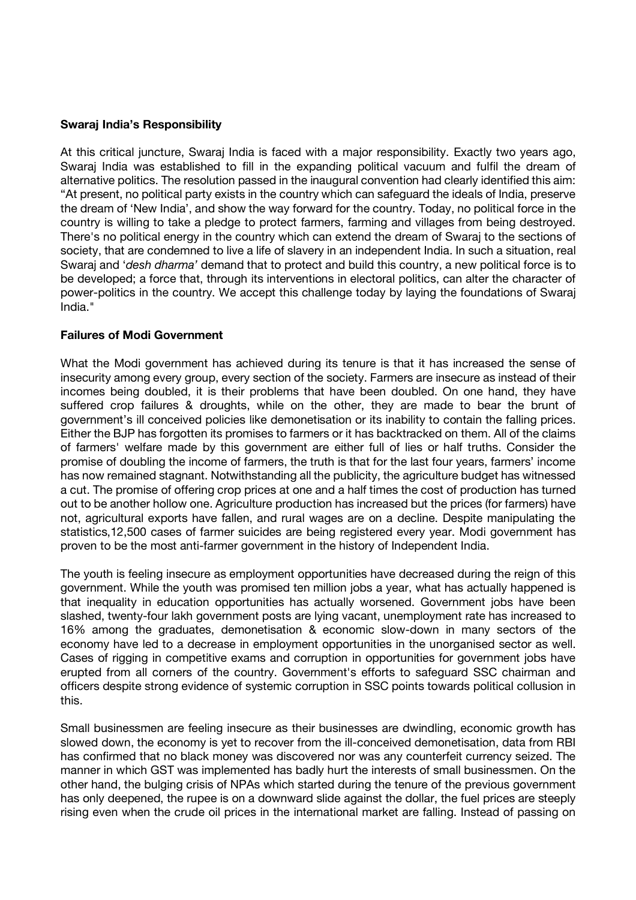#### **Swaraj India's Responsibility**

At this critical juncture, Swaraj India is faced with a major responsibility. Exactly two years ago, Swaraj India was established to fill in the expanding political vacuum and fulfil the dream of alternative politics. The resolution passed in the inaugural convention had clearly identified this aim: "At present, no political party exists in the country which can safeguard the ideals of India, preserve the dream of 'New India', and show the way forward for the country. Today, no political force in the country is willing to take a pledge to protect farmers, farming and villages from being destroyed. There's no political energy in the country which can extend the dream of Swaraj to the sections of society, that are condemned to live a life of slavery in an independent India. In such a situation, real Swaraj and '*desh dharma'* demand that to protect and build this country, a new political force is to be developed; a force that, through its interventions in electoral politics, can alter the character of power-politics in the country. We accept this challenge today by laying the foundations of Swaraj India."

## **Failures of Modi Government**

What the Modi government has achieved during its tenure is that it has increased the sense of insecurity among every group, every section of the society. Farmers are insecure as instead of their incomes being doubled, it is their problems that have been doubled. On one hand, they have suffered crop failures & droughts, while on the other, they are made to bear the brunt of government's ill conceived policies like demonetisation or its inability to contain the falling prices. Either the BJP has forgotten its promises to farmers or it has backtracked on them. All of the claims of farmers' welfare made by this government are either full of lies or half truths. Consider the promise of doubling the income of farmers, the truth is that for the last four years, farmers' income has now remained stagnant. Notwithstanding all the publicity, the agriculture budget has witnessed a cut. The promise of offering crop prices at one and a half times the cost of production has turned out to be another hollow one. Agriculture production has increased but the prices (for farmers) have not, agricultural exports have fallen, and rural wages are on a decline. Despite manipulating the statistics,12,500 cases of farmer suicides are being registered every year. Modi government has proven to be the most anti-farmer government in the history of Independent India.

The youth is feeling insecure as employment opportunities have decreased during the reign of this government. While the youth was promised ten million jobs a year, what has actually happened is that inequality in education opportunities has actually worsened. Government jobs have been slashed, twenty-four lakh government posts are lying vacant, unemployment rate has increased to 16% among the graduates, demonetisation & economic slow-down in many sectors of the economy have led to a decrease in employment opportunities in the unorganised sector as well. Cases of rigging in competitive exams and corruption in opportunities for government jobs have erupted from all corners of the country. Government's efforts to safeguard SSC chairman and officers despite strong evidence of systemic corruption in SSC points towards political collusion in this.

Small businessmen are feeling insecure as their businesses are dwindling, economic growth has slowed down, the economy is yet to recover from the ill-conceived demonetisation, data from RBI has confirmed that no black money was discovered nor was any counterfeit currency seized. The manner in which GST was implemented has badly hurt the interests of small businessmen. On the other hand, the bulging crisis of NPAs which started during the tenure of the previous government has only deepened, the rupee is on a downward slide against the dollar, the fuel prices are steeply rising even when the crude oil prices in the international market are falling. Instead of passing on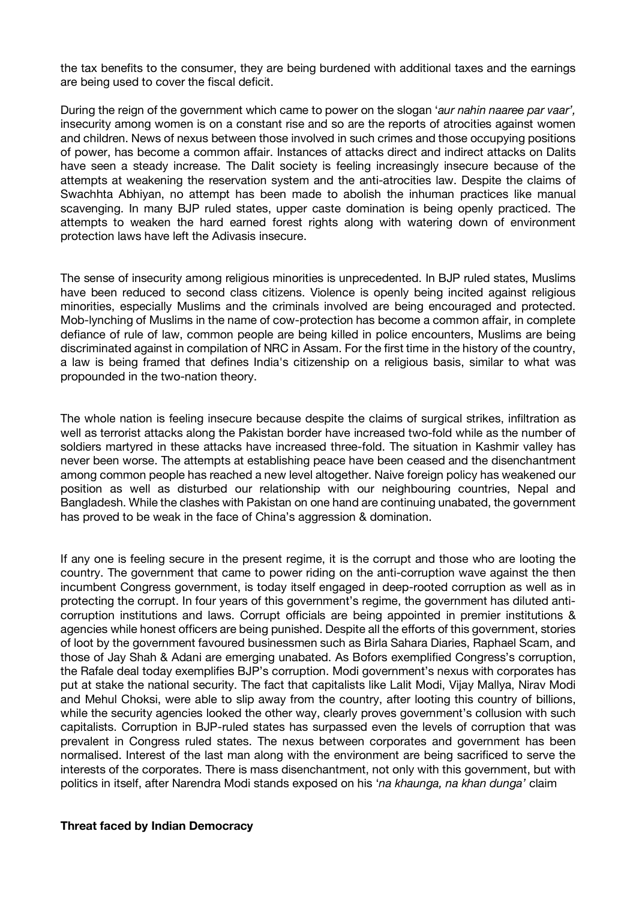the tax benefits to the consumer, they are being burdened with additional taxes and the earnings are being used to cover the fiscal deficit.

During the reign of the government which came to power on the slogan '*aur nahin naaree par vaar',* insecurity among women is on a constant rise and so are the reports of atrocities against women and children. News of nexus between those involved in such crimes and those occupying positions of power, has become a common affair. Instances of attacks direct and indirect attacks on Dalits have seen a steady increase. The Dalit society is feeling increasingly insecure because of the attempts at weakening the reservation system and the anti-atrocities law. Despite the claims of Swachhta Abhiyan, no attempt has been made to abolish the inhuman practices like manual scavenging. In many BJP ruled states, upper caste domination is being openly practiced. The attempts to weaken the hard earned forest rights along with watering down of environment protection laws have left the Adivasis insecure.

The sense of insecurity among religious minorities is unprecedented. In BJP ruled states, Muslims have been reduced to second class citizens. Violence is openly being incited against religious minorities, especially Muslims and the criminals involved are being encouraged and protected. Mob-lynching of Muslims in the name of cow-protection has become a common affair, in complete defiance of rule of law, common people are being killed in police encounters, Muslims are being discriminated against in compilation of NRC in Assam. For the first time in the history of the country, a law is being framed that defines India's citizenship on a religious basis, similar to what was propounded in the two-nation theory.

The whole nation is feeling insecure because despite the claims of surgical strikes, infiltration as well as terrorist attacks along the Pakistan border have increased two-fold while as the number of soldiers martyred in these attacks have increased three-fold. The situation in Kashmir valley has never been worse. The attempts at establishing peace have been ceased and the disenchantment among common people has reached a new level altogether. Naive foreign policy has weakened our position as well as disturbed our relationship with our neighbouring countries, Nepal and Bangladesh. While the clashes with Pakistan on one hand are continuing unabated, the government has proved to be weak in the face of China's aggression & domination.

If any one is feeling secure in the present regime, it is the corrupt and those who are looting the country. The government that came to power riding on the anti-corruption wave against the then incumbent Congress government, is today itself engaged in deep-rooted corruption as well as in protecting the corrupt. In four years of this government's regime, the government has diluted anticorruption institutions and laws. Corrupt officials are being appointed in premier institutions & agencies while honest officers are being punished. Despite all the efforts of this government, stories of loot by the government favoured businessmen such as Birla Sahara Diaries, Raphael Scam, and those of Jay Shah & Adani are emerging unabated. As Bofors exemplified Congress's corruption, the Rafale deal today exemplifies BJP's corruption. Modi government's nexus with corporates has put at stake the national security. The fact that capitalists like Lalit Modi, Vijay Mallya, Nirav Modi and Mehul Choksi, were able to slip away from the country, after looting this country of billions, while the security agencies looked the other way, clearly proves government's collusion with such capitalists. Corruption in BJP-ruled states has surpassed even the levels of corruption that was prevalent in Congress ruled states. The nexus between corporates and government has been normalised. Interest of the last man along with the environment are being sacrificed to serve the interests of the corporates. There is mass disenchantment, not only with this government, but with politics in itself, after Narendra Modi stands exposed on his '*na khaunga, na khan dunga'* claim

#### **Threat faced by Indian Democracy**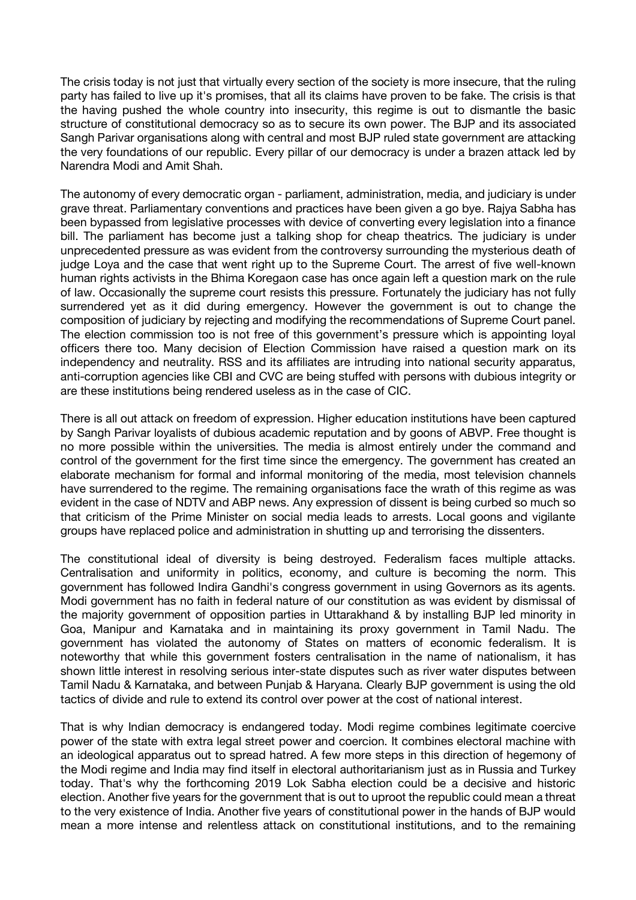The crisis today is not just that virtually every section of the society is more insecure, that the ruling party has failed to live up it's promises, that all its claims have proven to be fake. The crisis is that the having pushed the whole country into insecurity, this regime is out to dismantle the basic structure of constitutional democracy so as to secure its own power. The BJP and its associated Sangh Parivar organisations along with central and most BJP ruled state government are attacking the very foundations of our republic. Every pillar of our democracy is under a brazen attack led by Narendra Modi and Amit Shah.

The autonomy of every democratic organ - parliament, administration, media, and judiciary is under grave threat. Parliamentary conventions and practices have been given a go bye. Rajya Sabha has been bypassed from legislative processes with device of converting every legislation into a finance bill. The parliament has become just a talking shop for cheap theatrics. The judiciary is under unprecedented pressure as was evident from the controversy surrounding the mysterious death of judge Loya and the case that went right up to the Supreme Court. The arrest of five well-known human rights activists in the Bhima Koregaon case has once again left a question mark on the rule of law. Occasionally the supreme court resists this pressure. Fortunately the judiciary has not fully surrendered yet as it did during emergency. However the government is out to change the composition of judiciary by rejecting and modifying the recommendations of Supreme Court panel. The election commission too is not free of this government's pressure which is appointing loyal officers there too. Many decision of Election Commission have raised a question mark on its independency and neutrality. RSS and its affiliates are intruding into national security apparatus, anti-corruption agencies like CBI and CVC are being stuffed with persons with dubious integrity or are these institutions being rendered useless as in the case of CIC.

There is all out attack on freedom of expression. Higher education institutions have been captured by Sangh Parivar loyalists of dubious academic reputation and by goons of ABVP. Free thought is no more possible within the universities. The media is almost entirely under the command and control of the government for the first time since the emergency. The government has created an elaborate mechanism for formal and informal monitoring of the media, most television channels have surrendered to the regime. The remaining organisations face the wrath of this regime as was evident in the case of NDTV and ABP news. Any expression of dissent is being curbed so much so that criticism of the Prime Minister on social media leads to arrests. Local goons and vigilante groups have replaced police and administration in shutting up and terrorising the dissenters.

The constitutional ideal of diversity is being destroyed. Federalism faces multiple attacks. Centralisation and uniformity in politics, economy, and culture is becoming the norm. This government has followed Indira Gandhi's congress government in using Governors as its agents. Modi government has no faith in federal nature of our constitution as was evident by dismissal of the majority government of opposition parties in Uttarakhand & by installing BJP led minority in Goa, Manipur and Karnataka and in maintaining its proxy government in Tamil Nadu. The government has violated the autonomy of States on matters of economic federalism. It is noteworthy that while this government fosters centralisation in the name of nationalism, it has shown little interest in resolving serious inter-state disputes such as river water disputes between Tamil Nadu & Karnataka, and between Punjab & Haryana. Clearly BJP government is using the old tactics of divide and rule to extend its control over power at the cost of national interest.

That is why Indian democracy is endangered today. Modi regime combines legitimate coercive power of the state with extra legal street power and coercion. It combines electoral machine with an ideological apparatus out to spread hatred. A few more steps in this direction of hegemony of the Modi regime and India may find itself in electoral authoritarianism just as in Russia and Turkey today. That's why the forthcoming 2019 Lok Sabha election could be a decisive and historic election. Another five years for the government that is out to uproot the republic could mean a threat to the very existence of India. Another five years of constitutional power in the hands of BJP would mean a more intense and relentless attack on constitutional institutions, and to the remaining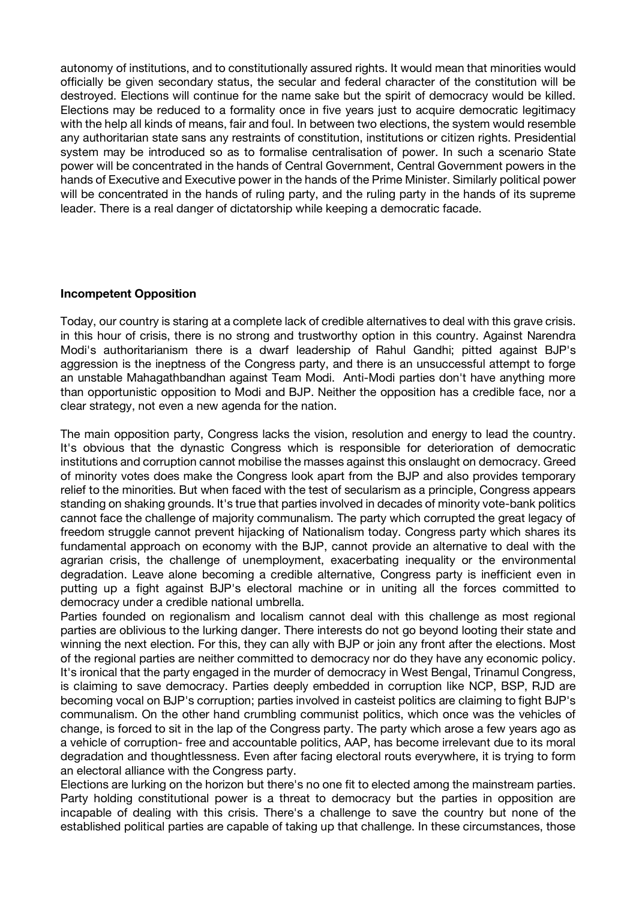autonomy of institutions, and to constitutionally assured rights. It would mean that minorities would officially be given secondary status, the secular and federal character of the constitution will be destroyed. Elections will continue for the name sake but the spirit of democracy would be killed. Elections may be reduced to a formality once in five years just to acquire democratic legitimacy with the help all kinds of means, fair and foul. In between two elections, the system would resemble any authoritarian state sans any restraints of constitution, institutions or citizen rights. Presidential system may be introduced so as to formalise centralisation of power. In such a scenario State power will be concentrated in the hands of Central Government, Central Government powers in the hands of Executive and Executive power in the hands of the Prime Minister. Similarly political power will be concentrated in the hands of ruling party, and the ruling party in the hands of its supreme leader. There is a real danger of dictatorship while keeping a democratic facade.

## **Incompetent Opposition**

Today, our country is staring at a complete lack of credible alternatives to deal with this grave crisis. in this hour of crisis, there is no strong and trustworthy option in this country. Against Narendra Modi's authoritarianism there is a dwarf leadership of Rahul Gandhi; pitted against BJP's aggression is the ineptness of the Congress party, and there is an unsuccessful attempt to forge an unstable Mahagathbandhan against Team Modi. Anti-Modi parties don't have anything more than opportunistic opposition to Modi and BJP. Neither the opposition has a credible face, nor a clear strategy, not even a new agenda for the nation.

The main opposition party, Congress lacks the vision, resolution and energy to lead the country. It's obvious that the dynastic Congress which is responsible for deterioration of democratic institutions and corruption cannot mobilise the masses against this onslaught on democracy. Greed of minority votes does make the Congress look apart from the BJP and also provides temporary relief to the minorities. But when faced with the test of secularism as a principle, Congress appears standing on shaking grounds. It's true that parties involved in decades of minority vote-bank politics cannot face the challenge of majority communalism. The party which corrupted the great legacy of freedom struggle cannot prevent hijacking of Nationalism today. Congress party which shares its fundamental approach on economy with the BJP, cannot provide an alternative to deal with the agrarian crisis, the challenge of unemployment, exacerbating inequality or the environmental degradation. Leave alone becoming a credible alternative, Congress party is inefficient even in putting up a fight against BJP's electoral machine or in uniting all the forces committed to democracy under a credible national umbrella.

Parties founded on regionalism and localism cannot deal with this challenge as most regional parties are oblivious to the lurking danger. There interests do not go beyond looting their state and winning the next election. For this, they can ally with BJP or join any front after the elections. Most of the regional parties are neither committed to democracy nor do they have any economic policy. It's ironical that the party engaged in the murder of democracy in West Bengal, Trinamul Congress, is claiming to save democracy. Parties deeply embedded in corruption like NCP, BSP, RJD are becoming vocal on BJP's corruption; parties involved in casteist politics are claiming to fight BJP's communalism. On the other hand crumbling communist politics, which once was the vehicles of change, is forced to sit in the lap of the Congress party. The party which arose a few years ago as a vehicle of corruption- free and accountable politics, AAP, has become irrelevant due to its moral degradation and thoughtlessness. Even after facing electoral routs everywhere, it is trying to form an electoral alliance with the Congress party.

Elections are lurking on the horizon but there's no one fit to elected among the mainstream parties. Party holding constitutional power is a threat to democracy but the parties in opposition are incapable of dealing with this crisis. There's a challenge to save the country but none of the established political parties are capable of taking up that challenge. In these circumstances, those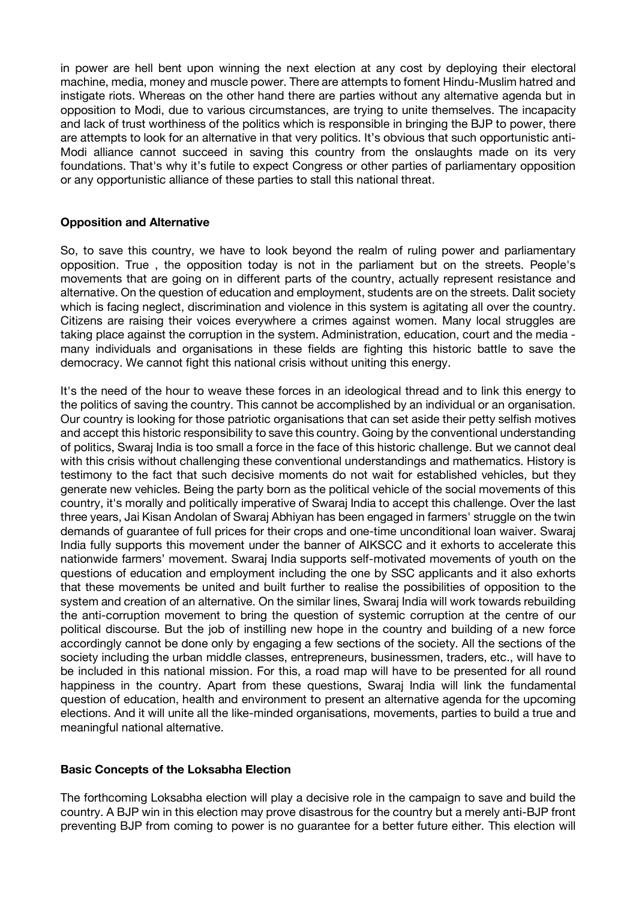in power are hell bent upon winning the next election at any cost by deploying their electoral machine, media, money and muscle power. There are attempts to foment Hindu-Muslim hatred and instigate riots. Whereas on the other hand there are parties without any alternative agenda but in opposition to Modi, due to various circumstances, are trying to unite themselves. The incapacity and lack of trust worthiness of the politics which is responsible in bringing the BJP to power, there are attempts to look for an alternative in that very politics. It's obvious that such opportunistic anti-Modi alliance cannot succeed in saving this country from the onslaughts made on its very foundations. That's why it's futile to expect Congress or other parties of parliamentary opposition or any opportunistic alliance of these parties to stall this national threat.

## **Opposition and Alternative**

So, to save this country, we have to look beyond the realm of ruling power and parliamentary opposition. True , the opposition today is not in the parliament but on the streets. People's movements that are going on in different parts of the country, actually represent resistance and alternative. On the question of education and employment, students are on the streets. Dalit society which is facing neglect, discrimination and violence in this system is agitating all over the country. Citizens are raising their voices everywhere a crimes against women. Many local struggles are taking place against the corruption in the system. Administration, education, court and the media many individuals and organisations in these fields are fighting this historic battle to save the democracy. We cannot fight this national crisis without uniting this energy.

It's the need of the hour to weave these forces in an ideological thread and to link this energy to the politics of saving the country. This cannot be accomplished by an individual or an organisation. Our country is looking for those patriotic organisations that can set aside their petty selfish motives and accept this historic responsibility to save this country. Going by the conventional understanding of politics, Swaraj India is too small a force in the face of this historic challenge. But we cannot deal with this crisis without challenging these conventional understandings and mathematics. History is testimony to the fact that such decisive moments do not wait for established vehicles, but they generate new vehicles. Being the party born as the political vehicle of the social movements of this country, it's morally and politically imperative of Swaraj India to accept this challenge. Over the last three years, Jai Kisan Andolan of Swaraj Abhiyan has been engaged in farmers' struggle on the twin demands of guarantee of full prices for their crops and one-time unconditional loan waiver. Swaraj India fully supports this movement under the banner of AIKSCC and it exhorts to accelerate this nationwide farmers' movement. Swaraj India supports self-motivated movements of youth on the questions of education and employment including the one by SSC applicants and it also exhorts that these movements be united and built further to realise the possibilities of opposition to the system and creation of an alternative. On the similar lines, Swaraj India will work towards rebuilding the anti-corruption movement to bring the question of systemic corruption at the centre of our political discourse. But the job of instilling new hope in the country and building of a new force accordingly cannot be done only by engaging a few sections of the society. All the sections of the society including the urban middle classes, entrepreneurs, businessmen, traders, etc., will have to be included in this national mission. For this, a road map will have to be presented for all round happiness in the country. Apart from these questions, Swaraj India will link the fundamental question of education, health and environment to present an alternative agenda for the upcoming elections. And it will unite all the like-minded organisations, movements, parties to build a true and meaningful national alternative.

## **Basic Concepts of the Loksabha Election**

The forthcoming Loksabha election will play a decisive role in the campaign to save and build the country. A BJP win in this election may prove disastrous for the country but a merely anti-BJP front preventing BJP from coming to power is no guarantee for a better future either. This election will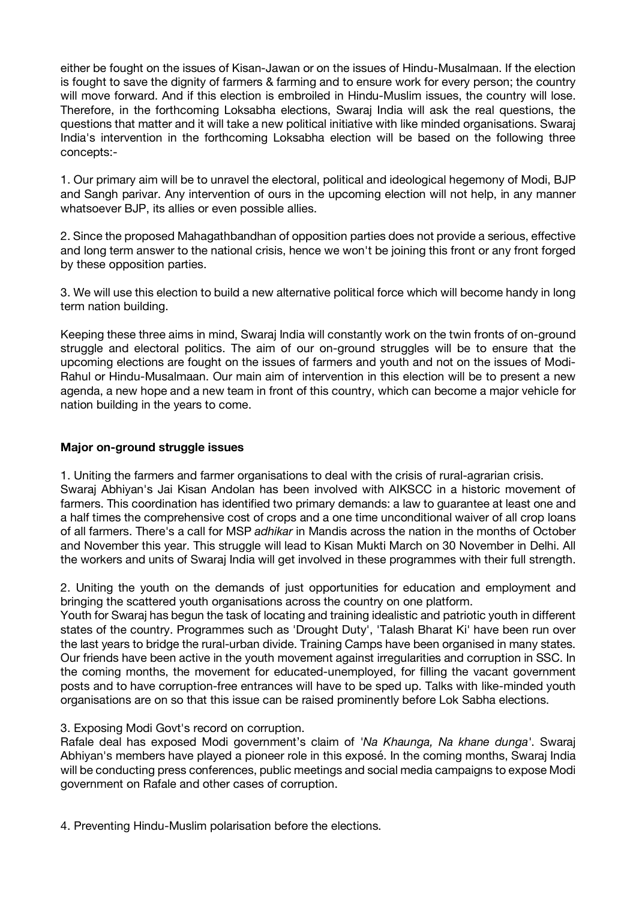either be fought on the issues of Kisan-Jawan or on the issues of Hindu-Musalmaan. If the election is fought to save the dignity of farmers & farming and to ensure work for every person; the country will move forward. And if this election is embroiled in Hindu-Muslim issues, the country will lose. Therefore, in the forthcoming Loksabha elections, Swaraj India will ask the real questions, the questions that matter and it will take a new political initiative with like minded organisations. Swaraj India's intervention in the forthcoming Loksabha election will be based on the following three concepts:-

1. Our primary aim will be to unravel the electoral, political and ideological hegemony of Modi, BJP and Sangh parivar. Any intervention of ours in the upcoming election will not help, in any manner whatsoever BJP, its allies or even possible allies.

2. Since the proposed Mahagathbandhan of opposition parties does not provide a serious, effective and long term answer to the national crisis, hence we won't be joining this front or any front forged by these opposition parties.

3. We will use this election to build a new alternative political force which will become handy in long term nation building.

Keeping these three aims in mind, Swaraj India will constantly work on the twin fronts of on-ground struggle and electoral politics. The aim of our on-ground struggles will be to ensure that the upcoming elections are fought on the issues of farmers and youth and not on the issues of Modi-Rahul or Hindu-Musalmaan. Our main aim of intervention in this election will be to present a new agenda, a new hope and a new team in front of this country, which can become a major vehicle for nation building in the years to come.

## **Major on-ground struggle issues**

1. Uniting the farmers and farmer organisations to deal with the crisis of rural-agrarian crisis.

Swaraj Abhiyan's Jai Kisan Andolan has been involved with AIKSCC in a historic movement of farmers. This coordination has identified two primary demands: a law to guarantee at least one and a half times the comprehensive cost of crops and a one time unconditional waiver of all crop loans of all farmers. There's a call for MSP *adhikar* in Mandis across the nation in the months of October and November this year. This struggle will lead to Kisan Mukti March on 30 November in Delhi. All the workers and units of Swaraj India will get involved in these programmes with their full strength.

2. Uniting the youth on the demands of just opportunities for education and employment and bringing the scattered youth organisations across the country on one platform.

Youth for Swaraj has begun the task of locating and training idealistic and patriotic youth in different states of the country. Programmes such as 'Drought Duty', 'Talash Bharat Ki' have been run over the last years to bridge the rural-urban divide. Training Camps have been organised in many states. Our friends have been active in the youth movement against irregularities and corruption in SSC. In the coming months, the movement for educated-unemployed, for filling the vacant government posts and to have corruption-free entrances will have to be sped up. Talks with like-minded youth organisations are on so that this issue can be raised prominently before Lok Sabha elections.

## 3. Exposing Modi Govt's record on corruption.

Rafale deal has exposed Modi government's claim of *'Na Khaunga, Na khane dunga'*. Swaraj Abhiyan's members have played a pioneer role in this exposé. In the coming months, Swaraj India will be conducting press conferences, public meetings and social media campaigns to expose Modi government on Rafale and other cases of corruption.

4. Preventing Hindu-Muslim polarisation before the elections.